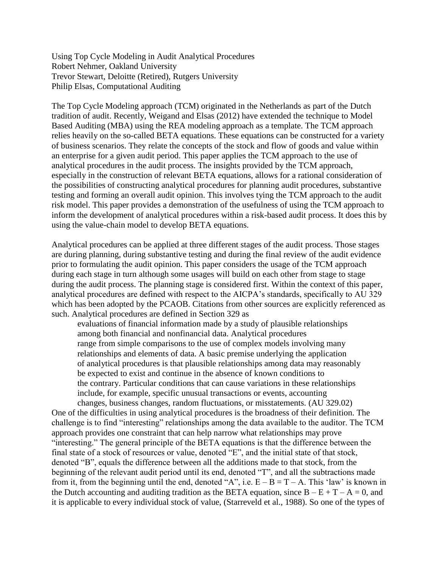Using Top Cycle Modeling in Audit Analytical Procedures Robert Nehmer, Oakland University Trevor Stewart, Deloitte (Retired), Rutgers University Philip Elsas, Computational Auditing

The Top Cycle Modeling approach (TCM) originated in the Netherlands as part of the Dutch tradition of audit. Recently, Weigand and Elsas (2012) have extended the technique to Model Based Auditing (MBA) using the REA modeling approach as a template. The TCM approach relies heavily on the so-called BETA equations. These equations can be constructed for a variety of business scenarios. They relate the concepts of the stock and flow of goods and value within an enterprise for a given audit period. This paper applies the TCM approach to the use of analytical procedures in the audit process. The insights provided by the TCM approach, especially in the construction of relevant BETA equations, allows for a rational consideration of the possibilities of constructing analytical procedures for planning audit procedures, substantive testing and forming an overall audit opinion. This involves tying the TCM approach to the audit risk model. This paper provides a demonstration of the usefulness of using the TCM approach to inform the development of analytical procedures within a risk-based audit process. It does this by using the value-chain model to develop BETA equations.

Analytical procedures can be applied at three different stages of the audit process. Those stages are during planning, during substantive testing and during the final review of the audit evidence prior to formulating the audit opinion. This paper considers the usage of the TCM approach during each stage in turn although some usages will build on each other from stage to stage during the audit process. The planning stage is considered first. Within the context of this paper, analytical procedures are defined with respect to the AICPA's standards, specifically to AU 329 which has been adopted by the PCAOB. Citations from other sources are explicitly referenced as such. Analytical procedures are defined in Section 329 as

evaluations of financial information made by a study of plausible relationships among both financial and nonfinancial data. Analytical procedures range from simple comparisons to the use of complex models involving many relationships and elements of data. A basic premise underlying the application of analytical procedures is that plausible relationships among data may reasonably be expected to exist and continue in the absence of known conditions to the contrary. Particular conditions that can cause variations in these relationships include, for example, specific unusual transactions or events, accounting changes, business changes, random fluctuations, or misstatements. (AU 329.02)

One of the difficulties in using analytical procedures is the broadness of their definition. The challenge is to find "interesting" relationships among the data available to the auditor. The TCM approach provides one constraint that can help narrow what relationships may prove "interesting." The general principle of the BETA equations is that the difference between the final state of a stock of resources or value, denoted "E", and the initial state of that stock, denoted "B", equals the difference between all the additions made to that stock, from the beginning of the relevant audit period until its end, denoted "T", and all the subtractions made from it, from the beginning until the end, denoted "A", i.e.  $E - B = T - A$ . This 'law' is known in the Dutch accounting and auditing tradition as the BETA equation, since  $B - E + T - A = 0$ , and it is applicable to every individual stock of value, (Starreveld et al., 1988). So one of the types of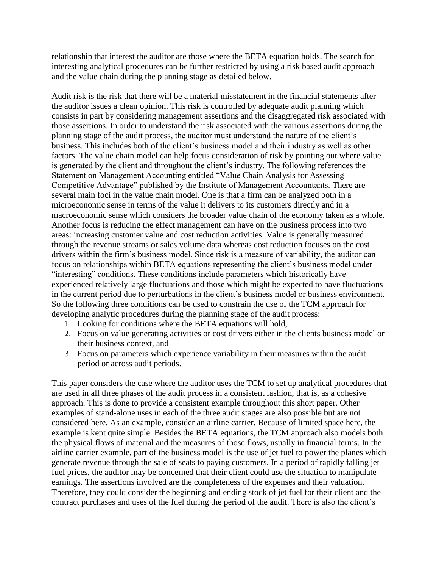relationship that interest the auditor are those where the BETA equation holds. The search for interesting analytical procedures can be further restricted by using a risk based audit approach and the value chain during the planning stage as detailed below.

Audit risk is the risk that there will be a material misstatement in the financial statements after the auditor issues a clean opinion. This risk is controlled by adequate audit planning which consists in part by considering management assertions and the disaggregated risk associated with those assertions. In order to understand the risk associated with the various assertions during the planning stage of the audit process, the auditor must understand the nature of the client's business. This includes both of the client's business model and their industry as well as other factors. The value chain model can help focus consideration of risk by pointing out where value is generated by the client and throughout the client's industry. The following references the Statement on Management Accounting entitled "Value Chain Analysis for Assessing Competitive Advantage" published by the Institute of Management Accountants. There are several main foci in the value chain model. One is that a firm can be analyzed both in a microeconomic sense in terms of the value it delivers to its customers directly and in a macroeconomic sense which considers the broader value chain of the economy taken as a whole. Another focus is reducing the effect management can have on the business process into two areas: increasing customer value and cost reduction activities. Value is generally measured through the revenue streams or sales volume data whereas cost reduction focuses on the cost drivers within the firm's business model. Since risk is a measure of variability, the auditor can focus on relationships within BETA equations representing the client's business model under "interesting" conditions. These conditions include parameters which historically have experienced relatively large fluctuations and those which might be expected to have fluctuations in the current period due to perturbations in the client's business model or business environment. So the following three conditions can be used to constrain the use of the TCM approach for developing analytic procedures during the planning stage of the audit process:

- 1. Looking for conditions where the BETA equations will hold,
- 2. Focus on value generating activities or cost drivers either in the clients business model or their business context, and
- 3. Focus on parameters which experience variability in their measures within the audit period or across audit periods.

This paper considers the case where the auditor uses the TCM to set up analytical procedures that are used in all three phases of the audit process in a consistent fashion, that is, as a cohesive approach. This is done to provide a consistent example throughout this short paper. Other examples of stand-alone uses in each of the three audit stages are also possible but are not considered here. As an example, consider an airline carrier. Because of limited space here, the example is kept quite simple. Besides the BETA equations, the TCM approach also models both the physical flows of material and the measures of those flows, usually in financial terms. In the airline carrier example, part of the business model is the use of jet fuel to power the planes which generate revenue through the sale of seats to paying customers. In a period of rapidly falling jet fuel prices, the auditor may be concerned that their client could use the situation to manipulate earnings. The assertions involved are the completeness of the expenses and their valuation. Therefore, they could consider the beginning and ending stock of jet fuel for their client and the contract purchases and uses of the fuel during the period of the audit. There is also the client's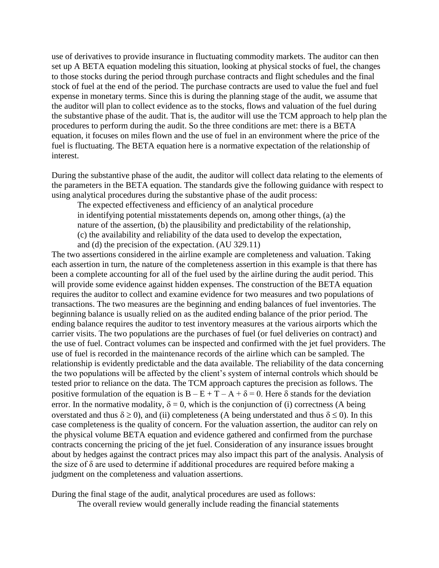use of derivatives to provide insurance in fluctuating commodity markets. The auditor can then set up A BETA equation modeling this situation, looking at physical stocks of fuel, the changes to those stocks during the period through purchase contracts and flight schedules and the final stock of fuel at the end of the period. The purchase contracts are used to value the fuel and fuel expense in monetary terms. Since this is during the planning stage of the audit, we assume that the auditor will plan to collect evidence as to the stocks, flows and valuation of the fuel during the substantive phase of the audit. That is, the auditor will use the TCM approach to help plan the procedures to perform during the audit. So the three conditions are met: there is a BETA equation, it focuses on miles flown and the use of fuel in an environment where the price of the fuel is fluctuating. The BETA equation here is a normative expectation of the relationship of interest.

During the substantive phase of the audit, the auditor will collect data relating to the elements of the parameters in the BETA equation. The standards give the following guidance with respect to using analytical procedures during the substantive phase of the audit process:

The expected effectiveness and efficiency of an analytical procedure in identifying potential misstatements depends on, among other things, (a) the nature of the assertion, (b) the plausibility and predictability of the relationship, (c) the availability and reliability of the data used to develop the expectation, and (d) the precision of the expectation. (AU 329.11)

The two assertions considered in the airline example are completeness and valuation. Taking each assertion in turn, the nature of the completeness assertion in this example is that there has been a complete accounting for all of the fuel used by the airline during the audit period. This will provide some evidence against hidden expenses. The construction of the BETA equation requires the auditor to collect and examine evidence for two measures and two populations of transactions. The two measures are the beginning and ending balances of fuel inventories. The beginning balance is usually relied on as the audited ending balance of the prior period. The ending balance requires the auditor to test inventory measures at the various airports which the carrier visits. The two populations are the purchases of fuel (or fuel deliveries on contract) and the use of fuel. Contract volumes can be inspected and confirmed with the jet fuel providers. The use of fuel is recorded in the maintenance records of the airline which can be sampled. The relationship is evidently predictable and the data available. The reliability of the data concerning the two populations will be affected by the client's system of internal controls which should be tested prior to reliance on the data. The TCM approach captures the precision as follows. The positive formulation of the equation is  $B - E + T - A + \delta = 0$ . Here  $\delta$  stands for the deviation error. In the normative modality,  $\delta = 0$ , which is the conjunction of (i) correctness (A being overstated and thus  $\delta \ge 0$ ), and (ii) completeness (A being understated and thus  $\delta \le 0$ ). In this case completeness is the quality of concern. For the valuation assertion, the auditor can rely on the physical volume BETA equation and evidence gathered and confirmed from the purchase contracts concerning the pricing of the jet fuel. Consideration of any insurance issues brought about by hedges against the contract prices may also impact this part of the analysis. Analysis of the size of δ are used to determine if additional procedures are required before making a judgment on the completeness and valuation assertions.

During the final stage of the audit, analytical procedures are used as follows:

The overall review would generally include reading the financial statements